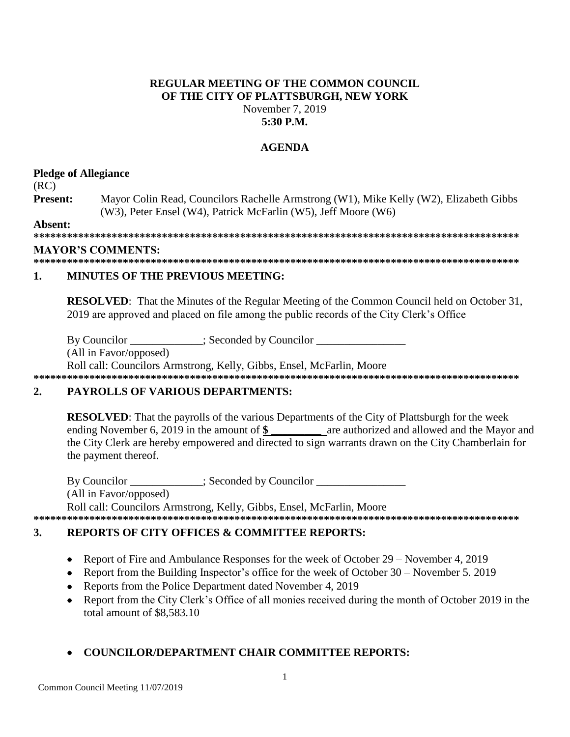# **REGULAR MEETING OF THE COMMON COUNCIL** OF THE CITY OF PLATTSBURGH, NEW YORK November 7, 2019

# $5:30$  P.M.

## **AGENDA**

### **Pledge of Allegiance**

 $(RC)$ 

Present: Mayor Colin Read, Councilors Rachelle Armstrong (W1), Mike Kelly (W2), Elizabeth Gibbs (W3), Peter Ensel (W4), Patrick McFarlin (W5), Jeff Moore (W6)

Absent:

### **MAYOR'S COMMENTS:**

#### $\mathbf{1}$ **MINUTES OF THE PREVIOUS MEETING:**

**RESOLVED:** That the Minutes of the Regular Meeting of the Common Council held on October 31, 2019 are approved and placed on file among the public records of the City Clerk's Office

By Councilor \_\_\_\_\_\_\_\_\_\_\_\_; Seconded by Councilor \_\_\_\_\_\_

(All in Favor/opposed)

Roll call: Councilors Armstrong, Kelly, Gibbs, Ensel, McFarlin, Moore

#### $2.$ **PAYROLLS OF VARIOUS DEPARTMENTS:**

**RESOLVED:** That the payrolls of the various Departments of the City of Plattsburgh for the week ending November 6, 2019 in the amount of \$ are authorized and allowed and the Mayor and the City Clerk are hereby empowered and directed to sign warrants drawn on the City Chamberlain for the payment thereof.

By Councilor : Seconded by Councilor (All in Favor/opposed) Roll call: Councilors Armstrong, Kelly, Gibbs, Ensel, McFarlin, Moore

#### $\mathbf{3}$ . **REPORTS OF CITY OFFICES & COMMITTEE REPORTS:**

- Report of Fire and Ambulance Responses for the week of October  $29 -$ November 4, 2019
- Report from the Building Inspector's office for the week of October  $30 -$ November 5. 2019
- Reports from the Police Department dated November 4, 2019
- Report from the City Clerk's Office of all monies received during the month of October 2019 in the total amount of \$8,583.10

## **COUNCILOR/DEPARTMENT CHAIR COMMITTEE REPORTS:**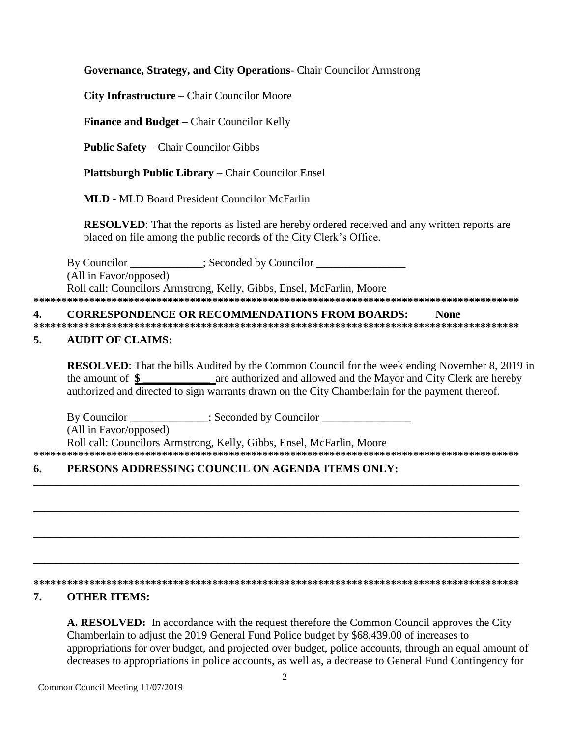Governance, Strategy, and City Operations- Chair Councilor Armstrong

City Infrastructure - Chair Councilor Moore

Finance and Budget - Chair Councilor Kelly

**Public Safety – Chair Councilor Gibbs** 

Plattsburgh Public Library - Chair Councilor Ensel

**MLD** - MLD Board President Councilor McFarlin

**RESOLVED:** That the reports as listed are hereby ordered received and any written reports are placed on file among the public records of the City Clerk's Office.

By Councilor \_\_\_\_\_\_\_\_\_\_\_\_; Seconded by Councilor \_\_\_\_\_\_\_\_\_\_\_\_\_\_\_\_\_\_\_\_\_\_\_\_\_\_\_\_\_\_\_ (All in Favor/opposed) Roll call: Councilors Armstrong, Kelly, Gibbs, Ensel, McFarlin, Moore 

**CORRESPONDENCE OR RECOMMENDATIONS FROM BOARDS: None**  $\overline{4}$ . 

#### $\overline{5}$ . **AUDIT OF CLAIMS:**

**RESOLVED:** That the bills Audited by the Common Council for the week ending November 8, 2019 in are authorized and allowed and the Mayor and City Clerk are hereby the amount of  $\$ authorized and directed to sign warrants drawn on the City Chamberlain for the payment thereof.

By Councilor \_\_\_\_\_\_\_\_\_\_\_\_; Seconded by Councilor \_\_\_\_\_\_\_\_\_\_\_\_\_\_\_\_\_\_\_\_\_\_\_\_\_\_\_\_\_\_\_ (All in Favor/opposed) Roll call: Councilors Armstrong, Kelly, Gibbs, Ensel, McFarlin, Moore 

#### PERSONS ADDRESSING COUNCIL ON AGENDA ITEMS ONLY: 6.

### 

#### 7. **OTHER ITEMS:**

A. RESOLVED: In accordance with the request therefore the Common Council approves the City Chamberlain to adjust the 2019 General Fund Police budget by \$68,439.00 of increases to appropriations for over budget, and projected over budget, police accounts, through an equal amount of decreases to appropriations in police accounts, as well as, a decrease to General Fund Contingency for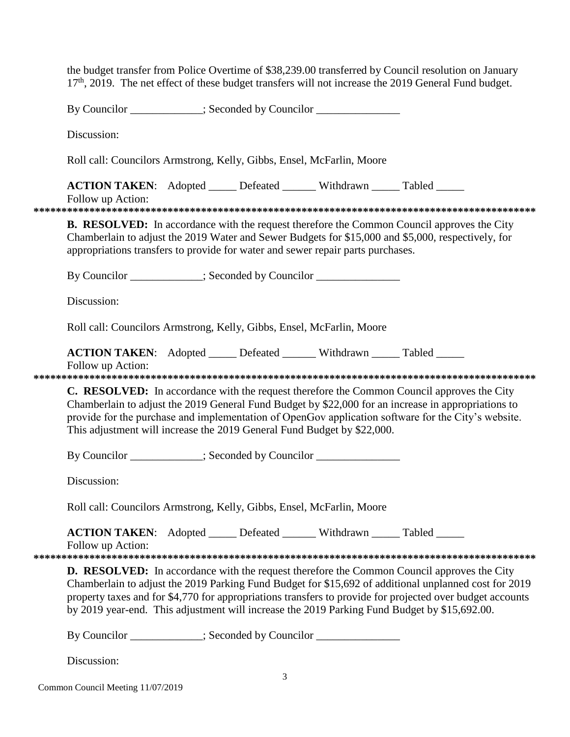|             | the budget transfer from Police Overtime of \$38,239.00 transferred by Council resolution on January<br>17 <sup>th</sup> , 2019. The net effect of these budget transfers will not increase the 2019 General Fund budget.                                                                                                                                                                                               |
|-------------|-------------------------------------------------------------------------------------------------------------------------------------------------------------------------------------------------------------------------------------------------------------------------------------------------------------------------------------------------------------------------------------------------------------------------|
|             | By Councilor ___________; Seconded by Councilor ______________                                                                                                                                                                                                                                                                                                                                                          |
| Discussion: |                                                                                                                                                                                                                                                                                                                                                                                                                         |
|             | Roll call: Councilors Armstrong, Kelly, Gibbs, Ensel, McFarlin, Moore                                                                                                                                                                                                                                                                                                                                                   |
|             | <b>ACTION TAKEN:</b> Adopted _____ Defeated ______ Withdrawn _____ Tabled _____<br>Follow up Action:                                                                                                                                                                                                                                                                                                                    |
|             | <b>B. RESOLVED:</b> In accordance with the request therefore the Common Council approves the City<br>Chamberlain to adjust the 2019 Water and Sewer Budgets for \$15,000 and \$5,000, respectively, for<br>appropriations transfers to provide for water and sewer repair parts purchases.                                                                                                                              |
|             | By Councilor __________; Seconded by Councilor ______________                                                                                                                                                                                                                                                                                                                                                           |
|             | Discussion:                                                                                                                                                                                                                                                                                                                                                                                                             |
|             | Roll call: Councilors Armstrong, Kelly, Gibbs, Ensel, McFarlin, Moore                                                                                                                                                                                                                                                                                                                                                   |
|             | ACTION TAKEN: Adopted _____ Defeated ______ Withdrawn _____ Tabled _____<br>Follow up Action:                                                                                                                                                                                                                                                                                                                           |
|             | C. RESOLVED: In accordance with the request therefore the Common Council approves the City<br>Chamberlain to adjust the 2019 General Fund Budget by \$22,000 for an increase in appropriations to<br>provide for the purchase and implementation of OpenGov application software for the City's website.<br>This adjustment will increase the 2019 General Fund Budget by \$22,000.                                     |
|             | By Councilor ___________; Seconded by Councilor ____________                                                                                                                                                                                                                                                                                                                                                            |
|             | Discussion:                                                                                                                                                                                                                                                                                                                                                                                                             |
|             | Roll call: Councilors Armstrong, Kelly, Gibbs, Ensel, McFarlin, Moore                                                                                                                                                                                                                                                                                                                                                   |
|             | ACTION TAKEN: Adopted _____ Defeated ______ Withdrawn _____ Tabled _____<br>Follow up Action:                                                                                                                                                                                                                                                                                                                           |
|             | <b>D. RESOLVED:</b> In accordance with the request therefore the Common Council approves the City<br>Chamberlain to adjust the 2019 Parking Fund Budget for \$15,692 of additional unplanned cost for 2019<br>property taxes and for \$4,770 for appropriations transfers to provide for projected over budget accounts<br>by 2019 year-end. This adjustment will increase the 2019 Parking Fund Budget by \$15,692.00. |
|             | By Councilor ____________; Seconded by Councilor _______________                                                                                                                                                                                                                                                                                                                                                        |
|             | Discussion:                                                                                                                                                                                                                                                                                                                                                                                                             |

Common Council Meeting 11/07/2019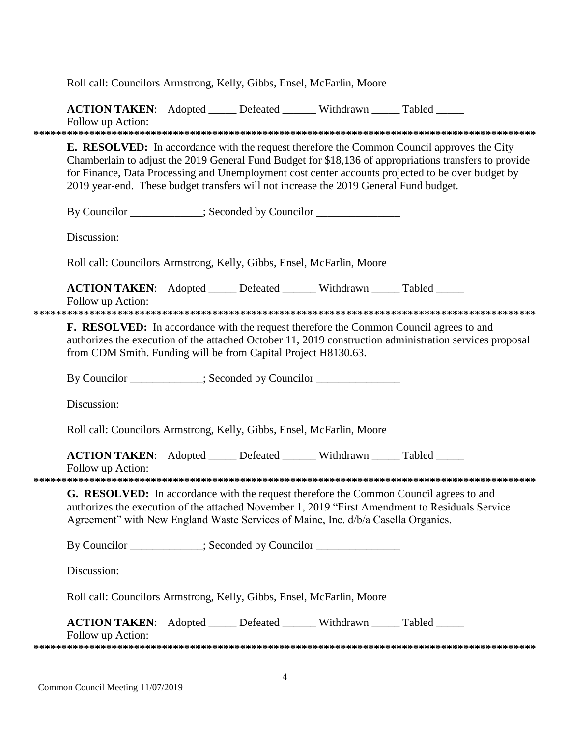| Roll call: Councilors Armstrong, Kelly, Gibbs, Ensel, McFarlin, Moore                                                                                                                                                                                                                                                                                                                                     |
|-----------------------------------------------------------------------------------------------------------------------------------------------------------------------------------------------------------------------------------------------------------------------------------------------------------------------------------------------------------------------------------------------------------|
| ACTION TAKEN: Adopted _____ Defeated ______ Withdrawn _____ Tabled _____<br>Follow up Action:                                                                                                                                                                                                                                                                                                             |
| <b>E. RESOLVED:</b> In accordance with the request therefore the Common Council approves the City<br>Chamberlain to adjust the 2019 General Fund Budget for \$18,136 of appropriations transfers to provide<br>for Finance, Data Processing and Unemployment cost center accounts projected to be over budget by<br>2019 year-end. These budget transfers will not increase the 2019 General Fund budget. |
| By Councilor ___________; Seconded by Councilor ______________                                                                                                                                                                                                                                                                                                                                            |
| Discussion:                                                                                                                                                                                                                                                                                                                                                                                               |
| Roll call: Councilors Armstrong, Kelly, Gibbs, Ensel, McFarlin, Moore                                                                                                                                                                                                                                                                                                                                     |
| <b>ACTION TAKEN:</b> Adopted _____ Defeated ______ Withdrawn _____ Tabled _____<br>Follow up Action:                                                                                                                                                                                                                                                                                                      |
| <b>F. RESOLVED:</b> In accordance with the request therefore the Common Council agrees to and<br>authorizes the execution of the attached October 11, 2019 construction administration services proposal<br>from CDM Smith. Funding will be from Capital Project H8130.63.                                                                                                                                |
| By Councilor ___________; Seconded by Councilor ________________________________                                                                                                                                                                                                                                                                                                                          |
| Discussion:                                                                                                                                                                                                                                                                                                                                                                                               |
| Roll call: Councilors Armstrong, Kelly, Gibbs, Ensel, McFarlin, Moore                                                                                                                                                                                                                                                                                                                                     |
| ACTION TAKEN: Adopted _____ Defeated ______ Withdrawn _____ Tabled _____<br>Follow up Action:                                                                                                                                                                                                                                                                                                             |
|                                                                                                                                                                                                                                                                                                                                                                                                           |
| <b>G. RESOLVED:</b> In accordance with the request therefore the Common Council agrees to and<br>authorizes the execution of the attached November 1, 2019 "First Amendment to Residuals Service<br>Agreement" with New England Waste Services of Maine, Inc. d/b/a Casella Organics.                                                                                                                     |
| By Councilor ___________; Seconded by Councilor ______________                                                                                                                                                                                                                                                                                                                                            |
| Discussion:                                                                                                                                                                                                                                                                                                                                                                                               |
| Roll call: Councilors Armstrong, Kelly, Gibbs, Ensel, McFarlin, Moore                                                                                                                                                                                                                                                                                                                                     |
| <b>ACTION TAKEN:</b> Adopted _____ Defeated ______ Withdrawn _____ Tabled _____<br>Follow up Action:                                                                                                                                                                                                                                                                                                      |